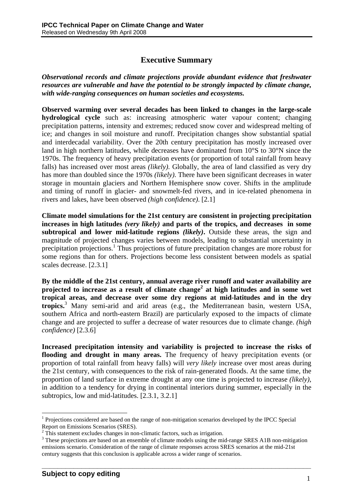## **Executive Summary**

*Observational records and climate projections provide abundant evidence that freshwater resources are vulnerable and have the potential to be strongly impacted by climate change, with wide-ranging consequences on human societies and ecosystems.* 

**Observed warming over several decades has been linked to changes in the large-scale hydrological cycle** such as: increasing atmospheric water vapour content; changing precipitation patterns, intensity and extremes; reduced snow cover and widespread melting of ice; and changes in soil moisture and runoff. Precipitation changes show substantial spatial and interdecadal variability. Over the 20th century precipitation has mostly increased over land in high northern latitudes, while decreases have dominated from 10°S to 30°N since the 1970s. The frequency of heavy precipitation events (or proportion of total rainfall from heavy falls) has increased over most areas *(likely)*. Globally, the area of land classified as very dry has more than doubled since the 1970s *(likely)*. There have been significant decreases in water storage in mountain glaciers and Northern Hemisphere snow cover. Shifts in the amplitude and timing of runoff in glacier- and snowmelt-fed rivers, and in ice-related phenomena in rivers and lakes, have been observed *(high confidence)*. [2.1]

**Climate model simulations for the 21st century are consistent in projecting precipitation increases in high latitudes** *(very likely)* **and parts of the tropics, and decreases in some subtropical and lower mid-latitude regions** *(likely)***.** Outside these areas, the sign and magnitude of projected changes varies between models, leading to substantial uncertainty in precipitation projections.<sup>1</sup> Thus projections of future precipitation changes are more robust for some regions than for others. Projections become less consistent between models as spatial scales decrease. [2.3.1]

**By the middle of the 21st century, annual average river runoff and water availability are projected to increase as a result of climate change<sup>2</sup> at high latitudes and in some wet tropical areas, and decrease over some dry regions at mid-latitudes and in the dry tropics.**<sup>3</sup> Many semi-arid and arid areas (e.g., the Mediterranean basin, western USA, southern Africa and north-eastern Brazil) are particularly exposed to the impacts of climate change and are projected to suffer a decrease of water resources due to climate change. *(high confidence)* [2.3.6]

**Increased precipitation intensity and variability is projected to increase the risks of flooding and drought in many areas.** The frequency of heavy precipitation events (or proportion of total rainfall from heavy falls) will *very likely* increase over most areas during the 21st century, with consequences to the risk of rain-generated floods. At the same time, the proportion of land surface in extreme drought at any one time is projected to increase *(likely)*, in addition to a tendency for drying in continental interiors during summer, especially in the subtropics, low and mid-latitudes. [2.3.1, 3.2.1]

**\_\_\_\_\_\_\_\_\_\_\_\_\_\_\_\_\_\_\_\_\_\_\_\_\_\_\_\_\_\_\_\_\_\_\_\_\_\_\_\_\_\_\_\_\_\_\_\_\_\_\_\_\_\_\_\_\_\_\_\_\_\_\_\_\_\_\_\_** 

 $\overline{a}$ 

<sup>&</sup>lt;sup>1</sup> Projections considered are based on the range of non-mitigation scenarios developed by the IPCC Special Report on Emissions Scenarios (SRES).

 $^2$  This statement excludes changes in non-climatic factors, such as irrigation.

<sup>&</sup>lt;sup>3</sup> These projections are based on an ensemble of climate models using the mid-range SRES A1B non-mitigation emissions scenario. Consideration of the range of climate responses across SRES scenarios at the mid-21st century suggests that this conclusion is applicable across a wider range of scenarios.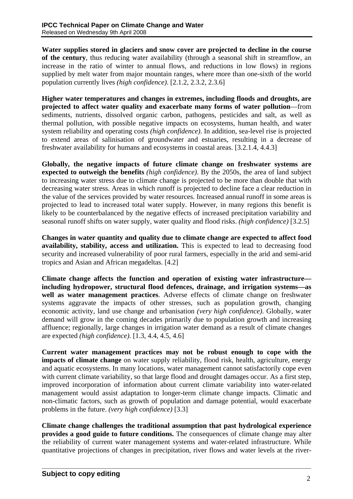**Water supplies stored in glaciers and snow cover are projected to decline in the course of the century**, thus reducing water availability (through a seasonal shift in streamflow, an increase in the ratio of winter to annual flows, and reductions in low flows) in regions supplied by melt water from major mountain ranges, where more than one-sixth of the world population currently lives *(high confidence)*. [2.1.2, 2.3.2, 2.3.6]

**Higher water temperatures and changes in extremes, including floods and droughts, are projected to affect water quality and exacerbate many forms of water pollution**—from sediments, nutrients, dissolved organic carbon, pathogens, pesticides and salt, as well as thermal pollution, with possible negative impacts on ecosystems, human health, and water system reliability and operating costs *(high confidence)*. In addition, sea-level rise is projected to extend areas of salinisation of groundwater and estuaries, resulting in a decrease of freshwater availability for humans and ecosystems in coastal areas. [3.2.1.4, 4.4.3]

**Globally, the negative impacts of future climate change on freshwater systems are expected to outweigh the benefits** *(high confidence)*. By the 2050s, the area of land subject to increasing water stress due to climate change is projected to be more than double that with decreasing water stress. Areas in which runoff is projected to decline face a clear reduction in the value of the services provided by water resources. Increased annual runoff in some areas is projected to lead to increased total water supply. However, in many regions this benefit is likely to be counterbalanced by the negative effects of increased precipitation variability and seasonal runoff shifts on water supply, water quality and flood risks. *(high confidence)* [3.2.5]

**Changes in water quantity and quality due to climate change are expected to affect food availability, stability, access and utilization.** This is expected to lead to decreasing food security and increased vulnerability of poor rural farmers, especially in the arid and semi-arid tropics and Asian and African megadeltas. [4.2]

**Climate change affects the function and operation of existing water infrastructure including hydropower, structural flood defences, drainage, and irrigation systems—as well as water management practices**. Adverse effects of climate change on freshwater systems aggravate the impacts of other stresses, such as population growth, changing economic activity, land use change and urbanisation *(very high confidence)*. Globally, water demand will grow in the coming decades primarily due to population growth and increasing affluence; regionally, large changes in irrigation water demand as a result of climate changes are expected *(high confidence).* [1.3, 4.4, 4.5, 4.6]

**Current water management practices may not be robust enough to cope with the impacts of climate change** on water supply reliability, flood risk, health, agriculture, energy and aquatic ecosystems. In many locations, water management cannot satisfactorily cope even with current climate variability, so that large flood and drought damages occur. As a first step, improved incorporation of information about current climate variability into water-related management would assist adaptation to longer-term climate change impacts. Climatic and non-climatic factors, such as growth of population and damage potential, would exacerbate problems in the future. *(very high confidence)* [3.3]

**Climate change challenges the traditional assumption that past hydrological experience provides a good guide to future conditions.** The consequences of climate change may alter the reliability of current water management systems and water-related infrastructure. While quantitative projections of changes in precipitation, river flows and water levels at the river-

**\_\_\_\_\_\_\_\_\_\_\_\_\_\_\_\_\_\_\_\_\_\_\_\_\_\_\_\_\_\_\_\_\_\_\_\_\_\_\_\_\_\_\_\_\_\_\_\_\_\_\_\_\_\_\_\_\_\_\_\_\_\_\_\_\_\_\_\_**